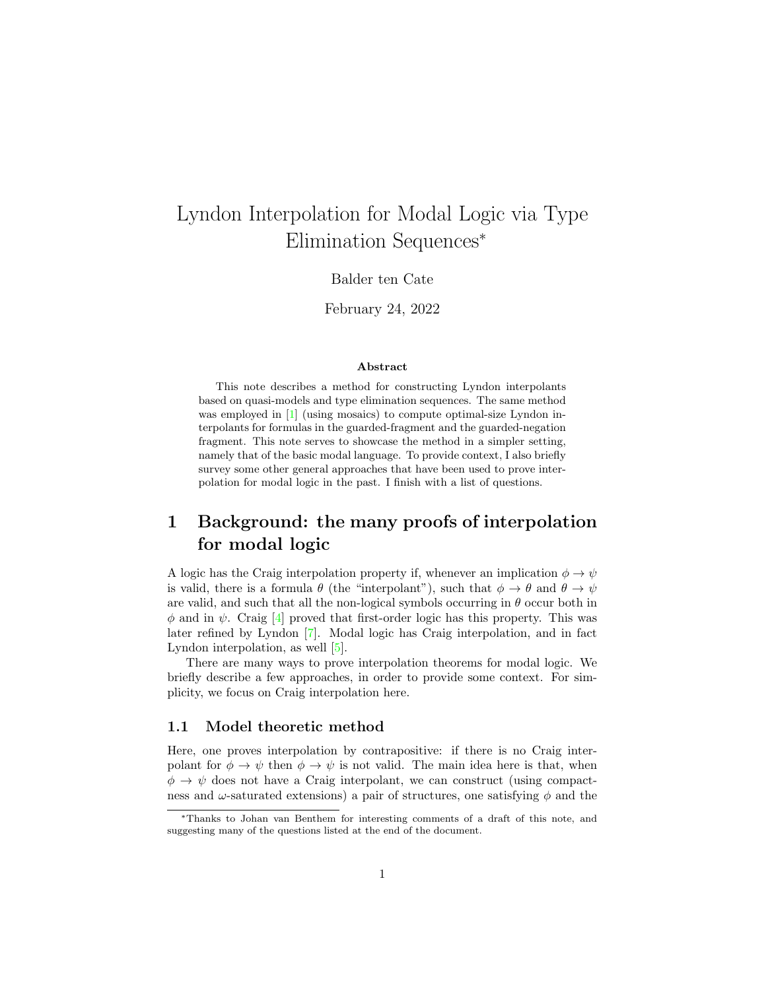# Lyndon Interpolation for Modal Logic via Type Elimination Sequences<sup>∗</sup>

Balder ten Cate

February 24, 2022

#### Abstract

This note describes a method for constructing Lyndon interpolants based on quasi-models and type elimination sequences. The same method was employed in [\[1\]](#page-10-0) (using mosaics) to compute optimal-size Lyndon interpolants for formulas in the guarded-fragment and the guarded-negation fragment. This note serves to showcase the method in a simpler setting, namely that of the basic modal language. To provide context, I also briefly survey some other general approaches that have been used to prove interpolation for modal logic in the past. I finish with a list of questions.

## <span id="page-0-0"></span>1 Background: the many proofs of interpolation for modal logic

A logic has the Craig interpolation property if, whenever an implication  $\phi \to \psi$ is valid, there is a formula  $\theta$  (the "interpolant"), such that  $\phi \to \theta$  and  $\theta \to \psi$ are valid, and such that all the non-logical symbols occurring in  $\theta$  occur both in  $\phi$  and in  $\psi$ . Craig [\[4\]](#page-10-1) proved that first-order logic has this property. This was later refined by Lyndon [\[7\]](#page-11-0). Modal logic has Craig interpolation, and in fact Lyndon interpolation, as well [\[5\]](#page-10-2).

There are many ways to prove interpolation theorems for modal logic. We briefly describe a few approaches, in order to provide some context. For simplicity, we focus on Craig interpolation here.

### 1.1 Model theoretic method

Here, one proves interpolation by contrapositive: if there is no Craig interpolant for  $\phi \to \psi$  then  $\phi \to \psi$  is not valid. The main idea here is that, when  $\phi \rightarrow \psi$  does not have a Craig interpolant, we can construct (using compactness and  $\omega$ -saturated extensions) a pair of structures, one satisfying  $\phi$  and the

<sup>∗</sup>Thanks to Johan van Benthem for interesting comments of a draft of this note, and suggesting many of the questions listed at the end of the document.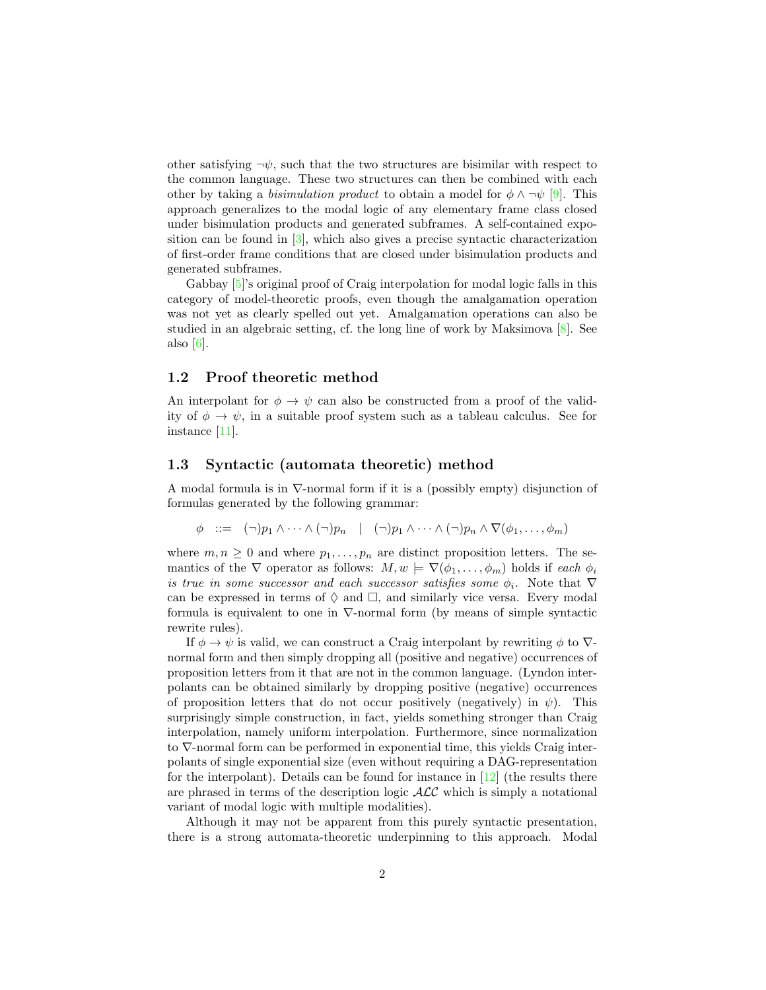other satisfying  $\neg \psi$ , such that the two structures are bisimilar with respect to the common language. These two structures can then be combined with each other by taking a *bisimulation product* to obtain a model for  $\phi \wedge \neg \psi$  [\[9\]](#page-11-1). This approach generalizes to the modal logic of any elementary frame class closed under bisimulation products and generated subframes. A self-contained exposition can be found in [\[3\]](#page-10-3), which also gives a precise syntactic characterization of first-order frame conditions that are closed under bisimulation products and generated subframes.

Gabbay [\[5\]](#page-10-2)'s original proof of Craig interpolation for modal logic falls in this category of model-theoretic proofs, even though the amalgamation operation was not yet as clearly spelled out yet. Amalgamation operations can also be studied in an algebraic setting, cf. the long line of work by Maksimova [\[8\]](#page-11-2). See also  $[6]$ .

### 1.2 Proof theoretic method

An interpolant for  $\phi \to \psi$  can also be constructed from a proof of the validity of  $\phi \to \psi$ , in a suitable proof system such as a tableau calculus. See for instance [\[11\]](#page-11-4).

### 1.3 Syntactic (automata theoretic) method

A modal formula is in ∇-normal form if it is a (possibly empty) disjunction of formulas generated by the following grammar:

$$
\phi \quad ::= \quad (\neg) p_1 \wedge \cdots \wedge (\neg) p_n \quad | \quad (\neg) p_1 \wedge \cdots \wedge (\neg) p_n \wedge \nabla(\phi_1, \ldots, \phi_m)
$$

where  $m, n \geq 0$  and where  $p_1, \ldots, p_n$  are distinct proposition letters. The semantics of the  $\nabla$  operator as follows:  $M, w \models \nabla(\phi_1, \ldots, \phi_m)$  holds if each  $\phi_i$ is true in some successor and each successor satisfies some  $\phi_i$ . Note that  $\nabla$ can be expressed in terms of  $\Diamond$  and  $\Box$ , and similarly vice versa. Every modal formula is equivalent to one in  $\nabla$ -normal form (by means of simple syntactic rewrite rules).

If  $\phi \to \psi$  is valid, we can construct a Craig interpolant by rewriting  $\phi$  to  $\nabla$ normal form and then simply dropping all (positive and negative) occurrences of proposition letters from it that are not in the common language. (Lyndon interpolants can be obtained similarly by dropping positive (negative) occurrences of proposition letters that do not occur positively (negatively) in  $\psi$ ). This surprisingly simple construction, in fact, yields something stronger than Craig interpolation, namely uniform interpolation. Furthermore, since normalization to ∇-normal form can be performed in exponential time, this yields Craig interpolants of single exponential size (even without requiring a DAG-representation for the interpolant). Details can be found for instance in  $[12]$  (the results there are phrased in terms of the description logic  $\mathcal{ALC}$  which is simply a notational variant of modal logic with multiple modalities).

Although it may not be apparent from this purely syntactic presentation, there is a strong automata-theoretic underpinning to this approach. Modal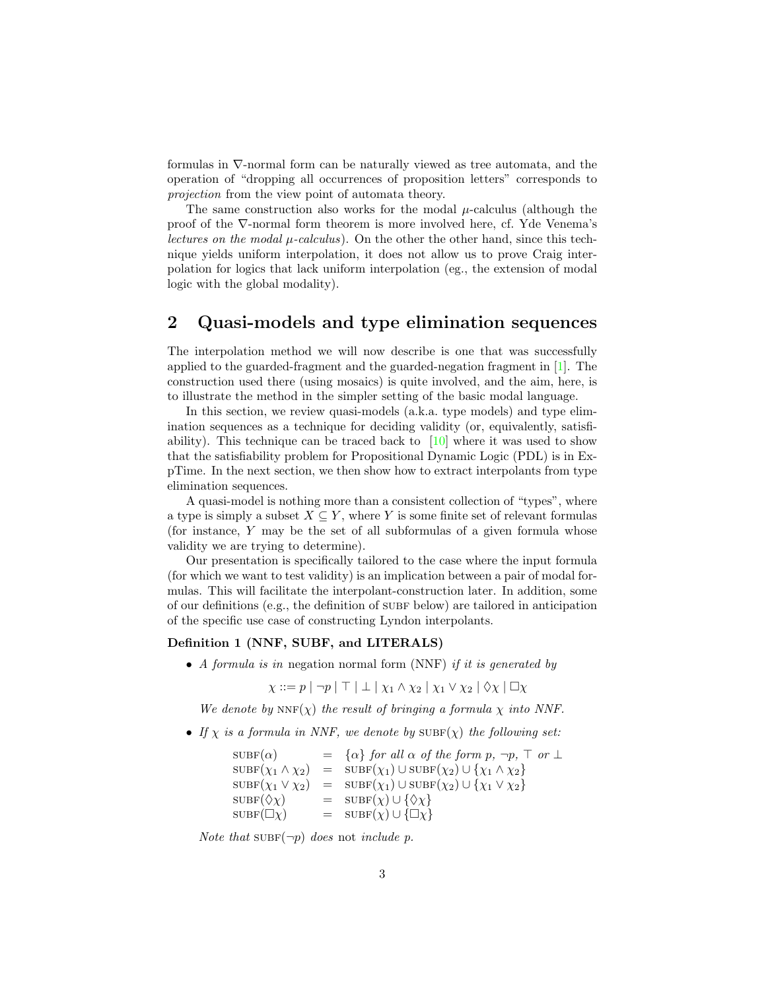formulas in ∇-normal form can be naturally viewed as tree automata, and the operation of "dropping all occurrences of proposition letters" corresponds to projection from the view point of automata theory.

The same construction also works for the modal  $\mu$ -calculus (although the proof of the ∇-normal form theorem is more involved here, cf. Yde Venema's lectures on the modal  $\mu$ -calculus). On the other the other hand, since this technique yields uniform interpolation, it does not allow us to prove Craig interpolation for logics that lack uniform interpolation (eg., the extension of modal logic with the global modality).

## 2 Quasi-models and type elimination sequences

The interpolation method we will now describe is one that was successfully applied to the guarded-fragment and the guarded-negation fragment in [\[1\]](#page-10-0). The construction used there (using mosaics) is quite involved, and the aim, here, is to illustrate the method in the simpler setting of the basic modal language.

In this section, we review quasi-models (a.k.a. type models) and type elimination sequences as a technique for deciding validity (or, equivalently, satisfiability). This technique can be traced back to  $[10]$  where it was used to show that the satisfiability problem for Propositional Dynamic Logic (PDL) is in ExpTime. In the next section, we then show how to extract interpolants from type elimination sequences.

A quasi-model is nothing more than a consistent collection of "types", where a type is simply a subset  $X \subseteq Y$ , where Y is some finite set of relevant formulas (for instance, Y may be the set of all subformulas of a given formula whose validity we are trying to determine).

Our presentation is specifically tailored to the case where the input formula (for which we want to test validity) is an implication between a pair of modal formulas. This will facilitate the interpolant-construction later. In addition, some of our definitions (e.g., the definition of subf below) are tailored in anticipation of the specific use case of constructing Lyndon interpolants.

#### Definition 1 (NNF, SUBF, and LITERALS)

• A formula is in negation normal form (NNF) if it is generated by

 $\chi ::= p | \neg p | \top | \bot | \chi_1 \wedge \chi_2 | \chi_1 \vee \chi_2 | \Diamond \chi | \Box \chi$ 

We denote by  $NNF(\chi)$  the result of bringing a formula  $\chi$  into NNF.

• If  $\chi$  is a formula in NNF, we denote by  $\text{SUBF}(\chi)$  the following set:

$$
SUBF(\alpha) = \{ \alpha \} \text{ for all } \alpha \text{ of the form } p, \neg p, \top \text{ or } \bot
$$
  
\n
$$
SUBF(\chi_1 \land \chi_2) = SUBF(\chi_1) \cup SUBF(\chi_2) \cup \{ \chi_1 \land \chi_2 \}
$$
  
\n
$$
SUBF(\chi_1 \lor \chi_2) = SUBF(\chi_1) \cup SUBF(\chi_2) \cup \{ \chi_1 \lor \chi_2 \}
$$
  
\n
$$
SUBF(\Diamond \chi) = SUBF(\chi) \cup \{ \Diamond \chi \}
$$
  
\n
$$
SUBF(\Box \chi) = SUBF(\chi) \cup \{ \Box \chi \}
$$

Note that  $\text{SUBF}(\neg p)$  does not include p.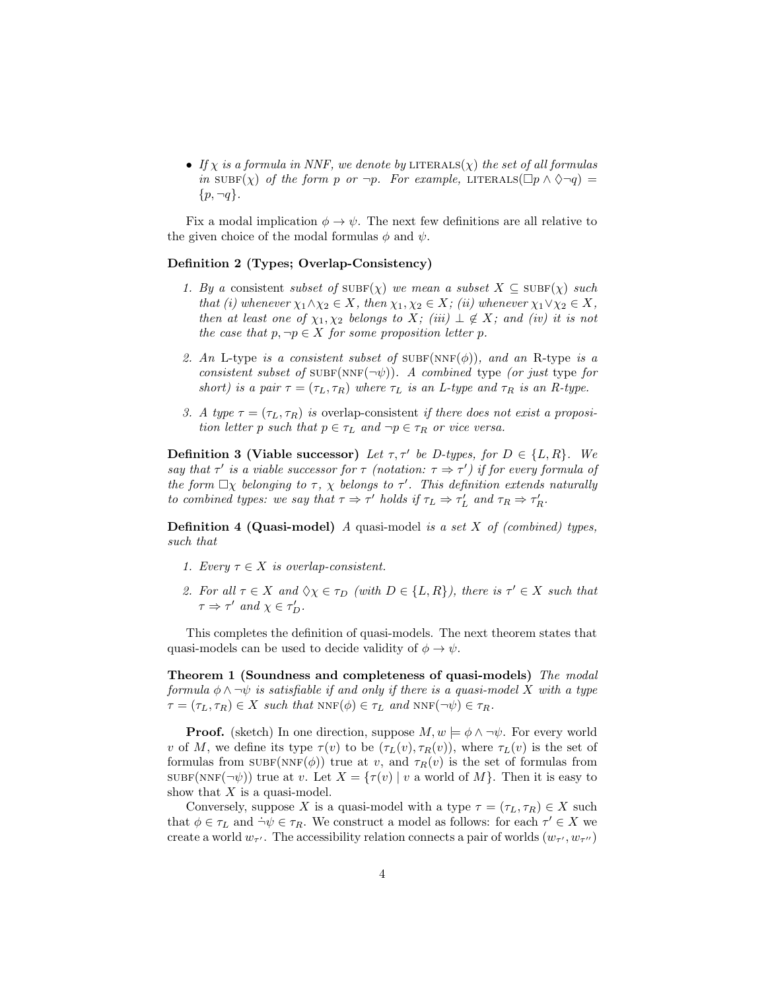• If  $\chi$  is a formula in NNF, we denote by LITERALS( $\chi$ ) the set of all formulas in  $\text{SUBF}(\chi)$  of the form p or  $\neg p$ . For example, LITERALS( $\Box p \land \Diamond \neg q$ ) =  $\{p, \neg q\}.$ 

Fix a modal implication  $\phi \to \psi$ . The next few definitions are all relative to the given choice of the modal formulas  $\phi$  and  $\psi$ .

#### Definition 2 (Types; Overlap-Consistency)

- 1. By a consistent subset of  $\text{SUBF}(\chi)$  we mean a subset  $X \subseteq \text{SUBF}(\chi)$  such that (i) whenever  $\chi_1 \wedge \chi_2 \in X$ , then  $\chi_1, \chi_2 \in X$ ; (ii) whenever  $\chi_1 \vee \chi_2 \in X$ , then at least one of  $\chi_1, \chi_2$  belongs to X; (iii)  $\perp \notin X$ ; and (iv) it is not the case that  $p, \neg p \in X$  for some proposition letter p.
- 2. An L-type is a consistent subset of  $\text{SUBF}(NNF(\phi))$ , and an R-type is a consistent subset of SUBF(NNF( $\neg\psi$ )). A combined type (or just type for short) is a pair  $\tau = (\tau_L, \tau_R)$  where  $\tau_L$  is an L-type and  $\tau_R$  is an R-type.
- 3. A type  $\tau = (\tau_L, \tau_R)$  is overlap-consistent if there does not exist a proposition letter p such that  $p \in \tau_L$  and  $\neg p \in \tau_R$  or vice versa.

**Definition 3 (Viable successor)** Let  $\tau, \tau'$  be D-types, for  $D \in \{L, R\}$ . We say that  $\tau'$  is a viable successor for  $\tau$  (notation:  $\tau \Rightarrow \tau'$ ) if for every formula of the form  $\Box \chi$  belonging to  $\tau$ ,  $\chi$  belongs to  $\tau'$ . This definition extends naturally to combined types: we say that  $\tau \Rightarrow \tau'$  holds if  $\tau_L \Rightarrow \tau'_L$  and  $\tau_R \Rightarrow \tau'_R$ .

<span id="page-3-1"></span>**Definition 4 (Quasi-model)** A quasi-model is a set  $X$  of (combined) types, such that

- 1. Every  $\tau \in X$  is overlap-consistent.
- 2. For all  $\tau \in X$  and  $\Diamond \chi \in \tau_D$  (with  $D \in \{L, R\}$ ), there is  $\tau' \in X$  such that  $\tau \Rightarrow \tau'$  and  $\chi \in \tau'_D$ .

This completes the definition of quasi-models. The next theorem states that quasi-models can be used to decide validity of  $\phi \to \psi$ .

<span id="page-3-0"></span>Theorem 1 (Soundness and completeness of quasi-models) The modal formula  $\phi \wedge \neg \psi$  is satisfiable if and only if there is a quasi-model X with a type  $\tau = (\tau_L, \tau_R) \in X$  such that  $NNF(\phi) \in \tau_L$  and  $NNF(\neg \psi) \in \tau_R$ .

**Proof.** (sketch) In one direction, suppose  $M, w \models \phi \land \neg \psi$ . For every world v of M, we define its type  $\tau(v)$  to be  $(\tau_L(v), \tau_R(v))$ , where  $\tau_L(v)$  is the set of formulas from  $\text{SUBF}(NNF(\phi))$  true at v, and  $\tau_R(v)$  is the set of formulas from  $\text{SUBF}(\text{NNF}(\neg \psi))$  true at v. Let  $X = \{\tau(v) \mid v \text{ a world of } M\}$ . Then it is easy to show that  $X$  is a quasi-model.

Conversely, suppose X is a quasi-model with a type  $\tau = (\tau_L, \tau_R) \in X$  such that  $\phi \in \tau_L$  and  $\dot{\neg} \psi \in \tau_R$ . We construct a model as follows: for each  $\tau' \in X$  we create a world  $w_{\tau'}$ . The accessibility relation connects a pair of worlds  $(w_{\tau'}, w_{\tau''})$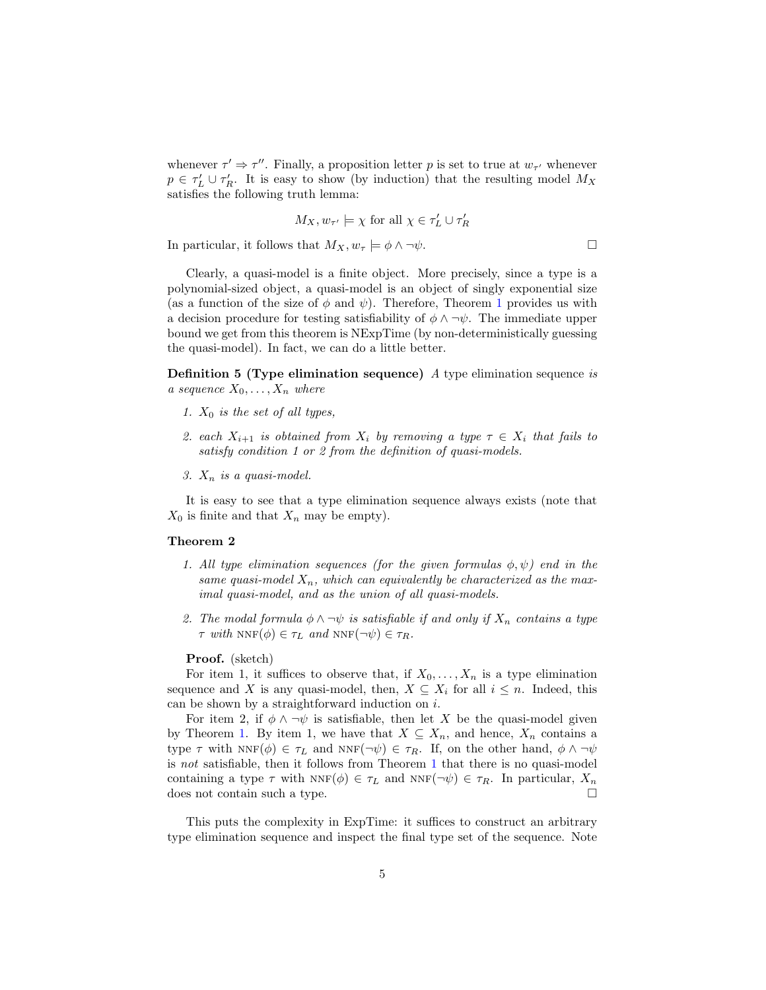whenever  $\tau' \Rightarrow \tau''$ . Finally, a proposition letter p is set to true at  $w_{\tau'}$  whenever  $p \in \tau_L' \cup \tau_R'$ . It is easy to show (by induction) that the resulting model  $M_X$ satisfies the following truth lemma:

$$
M_X, w_{\tau'} \models \chi \text{ for all } \chi \in \tau'_L \cup \tau'_R
$$

In particular, it follows that  $M_X, w_\tau \models \phi \land \neg \psi$ .

Clearly, a quasi-model is a finite object. More precisely, since a type is a polynomial-sized object, a quasi-model is an object of singly exponential size (as a function of the size of  $\phi$  and  $\psi$ ). Therefore, Theorem [1](#page-3-0) provides us with a decision procedure for testing satisfiability of  $\phi \land \neg \psi$ . The immediate upper bound we get from this theorem is NExpTime (by non-deterministically guessing the quasi-model). In fact, we can do a little better.

Definition 5 (Type elimination sequence) A type elimination sequence is a sequence  $X_0, \ldots, X_n$  where

- 1.  $X_0$  is the set of all types,
- 2. each  $X_{i+1}$  is obtained from  $X_i$  by removing a type  $\tau \in X_i$  that fails to satisfy condition 1 or 2 from the definition of quasi-models.
- 3.  $X_n$  is a quasi-model.

It is easy to see that a type elimination sequence always exists (note that  $X_0$  is finite and that  $X_n$  may be empty).

#### <span id="page-4-0"></span>Theorem 2

- 1. All type elimination sequences (for the given formulas  $\phi, \psi$ ) end in the same quasi-model  $X_n$ , which can equivalently be characterized as the maximal quasi-model, and as the union of all quasi-models.
- 2. The modal formula  $\phi \wedge \neg \psi$  is satisfiable if and only if  $X_n$  contains a type  $\tau$  with NNF( $\phi$ )  $\in \tau_L$  and NNF( $\neg \psi$ )  $\in \tau_R$ .

#### Proof. (sketch)

For item 1, it suffices to observe that, if  $X_0, \ldots, X_n$  is a type elimination sequence and X is any quasi-model, then,  $X \subseteq X_i$  for all  $i \leq n$ . Indeed, this can be shown by a straightforward induction on  $i$ .

For item 2, if  $\phi \wedge \neg \psi$  is satisfiable, then let X be the quasi-model given by Theorem [1.](#page-3-0) By item 1, we have that  $X \subseteq X_n$ , and hence,  $X_n$  contains a type  $\tau$  with  $NNF(\phi) \in \tau_L$  and  $NNF(\neg \psi) \in \tau_R$ . If, on the other hand,  $\phi \wedge \neg \psi$ is not satisfiable, then it follows from Theorem [1](#page-3-0) that there is no quasi-model containing a type  $\tau$  with  $NNF(\phi) \in \tau_L$  and  $NNF(\neg \psi) \in \tau_R$ . In particular,  $X_n$ does not contain such a type. □

This puts the complexity in ExpTime: it suffices to construct an arbitrary type elimination sequence and inspect the final type set of the sequence. Note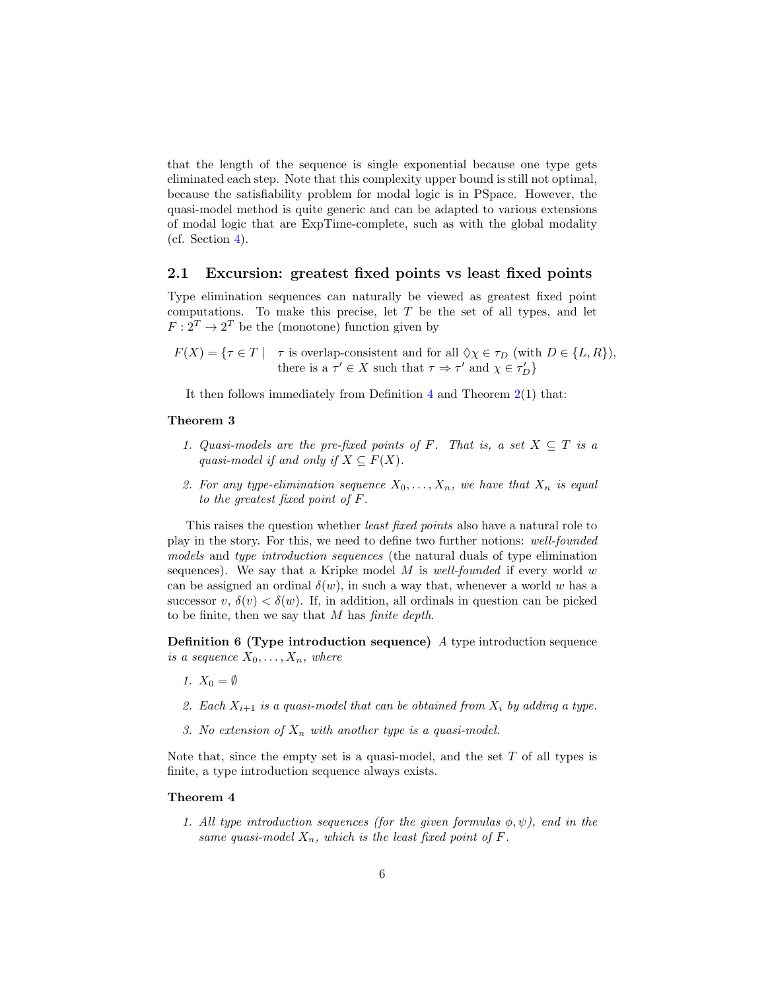that the length of the sequence is single exponential because one type gets eliminated each step. Note that this complexity upper bound is still not optimal, because the satisfiability problem for modal logic is in PSpace. However, the quasi-model method is quite generic and can be adapted to various extensions of modal logic that are ExpTime-complete, such as with the global modality (cf. Section [4\)](#page-8-0).

#### <span id="page-5-0"></span>2.1 Excursion: greatest fixed points vs least fixed points

Type elimination sequences can naturally be viewed as greatest fixed point computations. To make this precise, let  $T$  be the set of all types, and let  $F: 2^T \to 2^T$  be the (monotone) function given by

 $F(X) = \{ \tau \in T \mid \tau \text{ is overlap-consistent and for all } \Diamond \chi \in \tau_D \text{ (with } D \in \{L, R\}\text{),}$ there is a  $\tau' \in X$  such that  $\tau \Rightarrow \tau'$  and  $\chi \in \tau_D'$ 

It then follows immediately from Definition  $4$  and Theorem  $2(1)$  $2(1)$  that:

#### Theorem 3

- 1. Quasi-models are the pre-fixed points of F. That is, a set  $X \subseteq T$  is a quasi-model if and only if  $X \subseteq F(X)$ .
- 2. For any type-elimination sequence  $X_0, \ldots, X_n$ , we have that  $X_n$  is equal to the greatest fixed point of F.

This raises the question whether least fixed points also have a natural role to play in the story. For this, we need to define two further notions: well-founded models and type introduction sequences (the natural duals of type elimination sequences). We say that a Kripke model  $M$  is well-founded if every world w can be assigned an ordinal  $\delta(w)$ , in such a way that, whenever a world w has a successor  $v, \delta(v) < \delta(w)$ . If, in addition, all ordinals in question can be picked to be finite, then we say that M has finite depth.

Definition 6 (Type introduction sequence) A type introduction sequence is a sequence  $X_0, \ldots, X_n$ , where

- 1.  $X_0 = \emptyset$
- 2. Each  $X_{i+1}$  is a quasi-model that can be obtained from  $X_i$  by adding a type.
- 3. No extension of  $X_n$  with another type is a quasi-model.

Note that, since the empty set is a quasi-model, and the set  $T$  of all types is finite, a type introduction sequence always exists.

#### Theorem 4

1. All type introduction sequences (for the given formulas  $\phi, \psi$ ), end in the same quasi-model  $X_n$ , which is the least fixed point of F.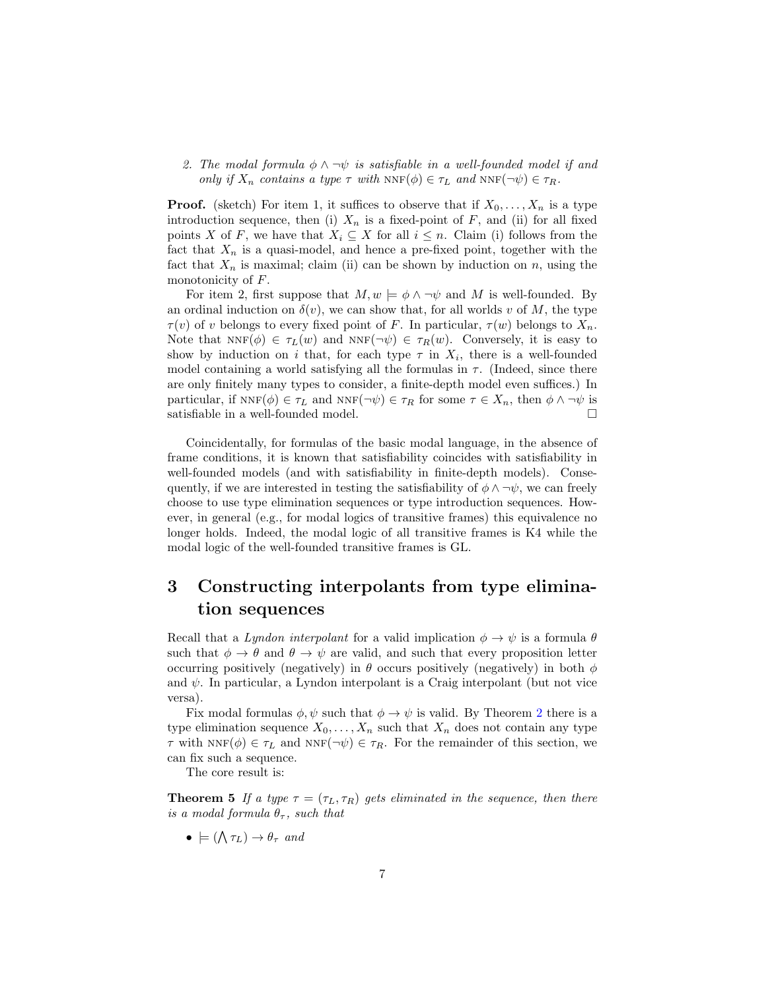2. The modal formula  $\phi \wedge \neg \psi$  is satisfiable in a well-founded model if and only if  $X_n$  contains a type  $\tau$  with  $NNF(\phi) \in \tau_L$  and  $NNF(\neg \psi) \in \tau_R$ .

**Proof.** (sketch) For item 1, it suffices to observe that if  $X_0, \ldots, X_n$  is a type introduction sequence, then (i)  $X_n$  is a fixed-point of F, and (ii) for all fixed points X of F, we have that  $X_i \subseteq X$  for all  $i \leq n$ . Claim (i) follows from the fact that  $X_n$  is a quasi-model, and hence a pre-fixed point, together with the fact that  $X_n$  is maximal; claim (ii) can be shown by induction on n, using the monotonicity of  $F$ .

For item 2, first suppose that  $M, w \models \phi \land \neg \psi$  and M is well-founded. By an ordinal induction on  $\delta(v)$ , we can show that, for all worlds v of M, the type  $\tau(v)$  of v belongs to every fixed point of F. In particular,  $\tau(w)$  belongs to  $X_n$ . Note that  $NNF(\phi) \in \tau_L(w)$  and  $NNF(\neg \psi) \in \tau_R(w)$ . Conversely, it is easy to show by induction on i that, for each type  $\tau$  in  $X_i$ , there is a well-founded model containing a world satisfying all the formulas in  $\tau$ . (Indeed, since there are only finitely many types to consider, a finite-depth model even suffices.) In particular, if  $NNF(\phi) \in \tau_L$  and  $NNF(\neg \psi) \in \tau_R$  for some  $\tau \in X_n$ , then  $\phi \wedge \neg \psi$  is satisfiable in a well-founded model.  $\Box$ 

Coincidentally, for formulas of the basic modal language, in the absence of frame conditions, it is known that satisfiability coincides with satisfiability in well-founded models (and with satisfiability in finite-depth models). Consequently, if we are interested in testing the satisfiability of  $\phi \land \neg \psi$ , we can freely choose to use type elimination sequences or type introduction sequences. However, in general (e.g., for modal logics of transitive frames) this equivalence no longer holds. Indeed, the modal logic of all transitive frames is K4 while the modal logic of the well-founded transitive frames is GL.

## 3 Constructing interpolants from type elimination sequences

Recall that a Lyndon interpolant for a valid implication  $\phi \to \psi$  is a formula  $\theta$ such that  $\phi \to \theta$  and  $\theta \to \psi$  are valid, and such that every proposition letter occurring positively (negatively) in  $\theta$  occurs positively (negatively) in both  $\phi$ and  $\psi$ . In particular, a Lyndon interpolant is a Craig interpolant (but not vice versa).

Fix modal formulas  $\phi, \psi$  such that  $\phi \rightarrow \psi$  is valid. By Theorem [2](#page-4-0) there is a type elimination sequence  $X_0, \ldots, X_n$  such that  $X_n$  does not contain any type  $\tau$  with NNF( $\phi$ )  $\in \tau_L$  and NNF( $\neg \psi$ )  $\in \tau_R$ . For the remainder of this section, we can fix such a sequence.

The core result is:

<span id="page-6-0"></span>**Theorem 5** If a type  $\tau = (\tau_L, \tau_R)$  gets eliminated in the sequence, then there is a modal formula  $\theta_{\tau}$ , such that

 $\bullet \models (\bigwedge \tau_L) \rightarrow \theta_{\tau}$  and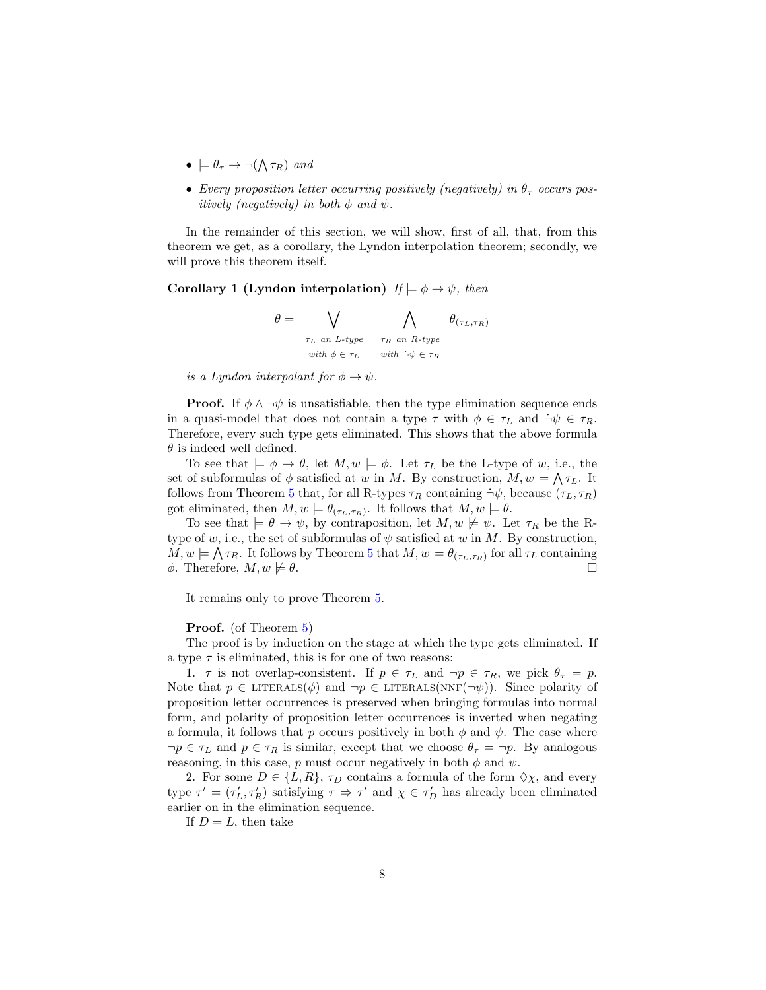- $\bullet \models \theta_{\tau} \rightarrow \neg(\bigwedge \tau_R)$  and
- Every proposition letter occurring positively (negatively) in  $\theta_{\tau}$  occurs positively (negatively) in both  $\phi$  and  $\psi$ .

In the remainder of this section, we will show, first of all, that, from this theorem we get, as a corollary, the Lyndon interpolation theorem; secondly, we will prove this theorem itself.

Corollary 1 (Lyndon interpolation)  $If \models \phi \rightarrow \psi$ , then

$$
\theta = \bigvee_{\substack{\tau_L \text{ an } L\text{-type} \\ \text{with } \phi \in \tau_L}} \bigwedge_{\substack{\tau_R \text{ an } R\text{-type} \\ \text{with } \phi \in \tau_R}} \theta_{(\tau_L, \tau_R)}
$$

is a Lyndon interpolant for  $\phi \to \psi$ .

**Proof.** If  $\phi \land \neg \psi$  is unsatisfiable, then the type elimination sequence ends in a quasi-model that does not contain a type  $\tau$  with  $\phi \in \tau_L$  and  $\dot{\neg} \psi \in \tau_R$ . Therefore, every such type gets eliminated. This shows that the above formula  $\theta$  is indeed well defined.

To see that  $\models \phi \rightarrow \theta$ , let  $M, w \models \phi$ . Let  $\tau_L$  be the L-type of w, i.e., the set of subformulas of  $\phi$  satisfied at w in M. By construction,  $M, w \models \bigwedge \tau_L$ . It follows from Theorem [5](#page-6-0) that, for all R-types  $\tau_R$  containing  $\dot{\neg} \psi$ , because  $(\tau_L, \tau_R)$ got eliminated, then  $M, w \models \theta_{(\tau_L, \tau_R)}$ . It follows that  $M, w \models \theta$ .

To see that  $\models \theta \rightarrow \psi$ , by contraposition, let  $M, w \not\models \psi$ . Let  $\tau_R$  be the Rtype of w, i.e., the set of subformulas of  $\psi$  satisfied at w in M. By construction,  $M, w \models \bigwedge \tau_R$ . It follows by Theorem [5](#page-6-0) that  $M, w \models \theta_{(\tau_L, \tau_R)}$  for all  $\tau_L$  containing  $\phi$ . Therefore,  $M, w \not\models \theta$ .

It remains only to prove Theorem [5.](#page-6-0)

#### Proof. (of Theorem [5\)](#page-6-0)

The proof is by induction on the stage at which the type gets eliminated. If a type  $\tau$  is eliminated, this is for one of two reasons:

1.  $\tau$  is not overlap-consistent. If  $p \in \tau_L$  and  $\neg p \in \tau_R$ , we pick  $\theta_{\tau} = p$ . Note that  $p \in \text{LITERALS}(\phi)$  and  $\neg p \in \text{LITERALS}(\text{NNF}(\neg \psi))$ . Since polarity of proposition letter occurrences is preserved when bringing formulas into normal form, and polarity of proposition letter occurrences is inverted when negating a formula, it follows that p occurs positively in both  $\phi$  and  $\psi$ . The case where  $\neg p \in \tau_L$  and  $p \in \tau_R$  is similar, except that we choose  $\theta_{\tau} = \neg p$ . By analogous reasoning, in this case, p must occur negatively in both  $\phi$  and  $\psi$ .

2. For some  $D \in \{L, R\}$ ,  $\tau_D$  contains a formula of the form  $\Diamond \chi$ , and every type  $\tau' = (\tau_L', \tau_R')$  satisfying  $\tau \Rightarrow \tau'$  and  $\chi \in \tau_D'$  has already been eliminated earlier on in the elimination sequence.

If  $D = L$ , then take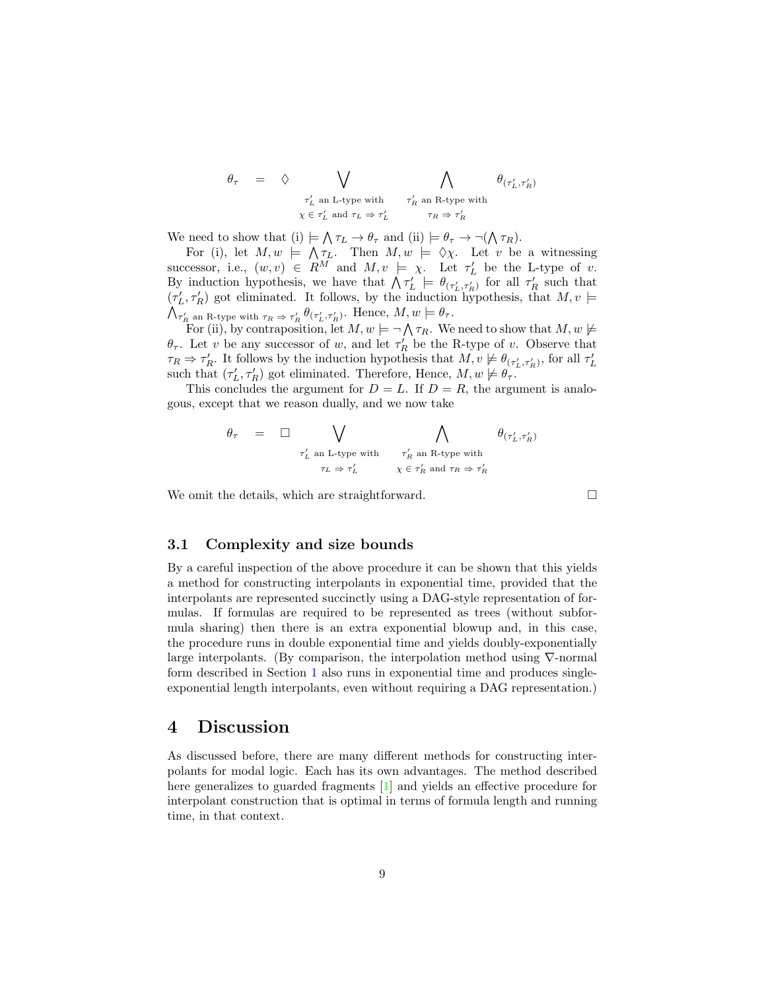$$
\begin{array}{lcl} \theta_{\tau} & = & \diamondsuit & \bigvee & \bigwedge & \bigwedge & \theta_{(\tau_L',\tau_R')} \\ & & & \tau_L' \text{ an L-type with } & \tau_R' \text{ an R-type with } \\ & & & \chi \in \tau_L' \text{ and } \tau_L \Rightarrow \tau_L' & \tau_R \Rightarrow \tau_R' \end{array}
$$

We need to show that (i)  $\models \bigwedge \tau_L \to \theta_\tau$  and (ii)  $\models \theta_\tau \to \neg(\bigwedge \tau_R)$ .

For (i), let  $M, w \models \bigwedge \tau_L$ . Then  $M, w \models \Diamond \chi$ . Let v be a witnessing successor, i.e.,  $(w, v) \in R^M$  and  $M, v \models \chi$ . Let  $\tau'_L$  be the L-type of v. By induction hypothesis, we have that  $\bigwedge \tau_L' \models \theta_{(\tau_L', \tau_R')}$  for all  $\tau_R'$  such that  $(\tau_L', \tau_R')$  got eliminated. It follows, by the induction hypothesis, that  $M, v \models$ <br> $\bigwedge_{\tau' \text{ an R-two with } \tau_R \to \tau'} \theta(\tau', \tau')$ . Hence,  $M, w \models \theta_{\tau}$ .  $\tau_R'$  an R-type with  $\tau_R \Rightarrow \tau_R' \theta(\tau_L', \tau_R')$ . Hence,  $M, w \models \theta_\tau$ .

For (ii), by contraposition, let  $M, w \models \neg \bigwedge \tau_R$ . We need to show that  $M, w \not\models$  $\theta_{\tau}$ . Let v be any successor of w, and let  $\tau_R'$  be the R-type of v. Observe that  $\tau_R \Rightarrow \tau_R'$ . It follows by the induction hypothesis that  $M, v \not\models \theta_{(\tau_L', \tau_R')}$ , for all  $\tau_L'$ such that  $(\tau_L', \tau_R')$  got eliminated. Therefore, Hence,  $M, w \not\models \theta_{\tau}$ .

This concludes the argument for  $D = L$ . If  $D = R$ , the argument is analogous, except that we reason dually, and we now take

$$
\theta_\tau \quad = \quad \square \quad \bigvee_{\tau_L' \text{ an $L$-type with} \atop \tau_L \Rightarrow \tau_L'} \quad \bigwedge_{\tau_R' \text{ an $R$-type with} \atop \chi \,\in \, \tau_R' \text{ and } \tau_R \Rightarrow \tau_R'}
$$

We omit the details, which are straightforward.  $\Box$ 

### 3.1 Complexity and size bounds

By a careful inspection of the above procedure it can be shown that this yields a method for constructing interpolants in exponential time, provided that the interpolants are represented succinctly using a DAG-style representation of formulas. If formulas are required to be represented as trees (without subformula sharing) then there is an extra exponential blowup and, in this case, the procedure runs in double exponential time and yields doubly-exponentially large interpolants. (By comparison, the interpolation method using ∇-normal form described in Section [1](#page-0-0) also runs in exponential time and produces singleexponential length interpolants, even without requiring a DAG representation.)

## <span id="page-8-0"></span>4 Discussion

As discussed before, there are many different methods for constructing interpolants for modal logic. Each has its own advantages. The method described here generalizes to guarded fragments [\[1\]](#page-10-0) and yields an effective procedure for interpolant construction that is optimal in terms of formula length and running time, in that context.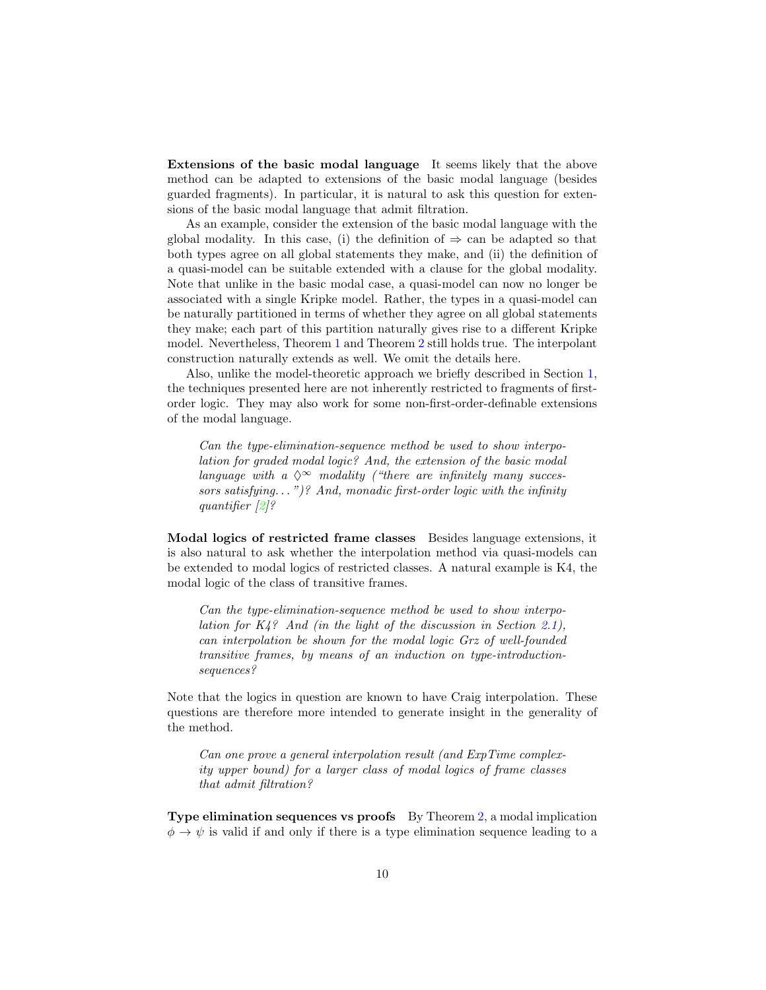Extensions of the basic modal language It seems likely that the above method can be adapted to extensions of the basic modal language (besides guarded fragments). In particular, it is natural to ask this question for extensions of the basic modal language that admit filtration.

As an example, consider the extension of the basic modal language with the global modality. In this case, (i) the definition of  $\Rightarrow$  can be adapted so that both types agree on all global statements they make, and (ii) the definition of a quasi-model can be suitable extended with a clause for the global modality. Note that unlike in the basic modal case, a quasi-model can now no longer be associated with a single Kripke model. Rather, the types in a quasi-model can be naturally partitioned in terms of whether they agree on all global statements they make; each part of this partition naturally gives rise to a different Kripke model. Nevertheless, Theorem [1](#page-3-0) and Theorem [2](#page-4-0) still holds true. The interpolant construction naturally extends as well. We omit the details here.

Also, unlike the model-theoretic approach we briefly described in Section [1,](#page-0-0) the techniques presented here are not inherently restricted to fragments of firstorder logic. They may also work for some non-first-order-definable extensions of the modal language.

Can the type-elimination-sequence method be used to show interpolation for graded modal logic? And, the extension of the basic modal language with a  $\Diamond^{\infty}$  modality ("there are infinitely many successors satisfying...")? And, monadic first-order logic with the infinity quantifier [\[2\]](#page-10-4)?

Modal logics of restricted frame classes Besides language extensions, it is also natural to ask whether the interpolation method via quasi-models can be extended to modal logics of restricted classes. A natural example is K4, the modal logic of the class of transitive frames.

Can the type-elimination-sequence method be used to show interpolation for  $K_4$ ? And (in the light of the discussion in Section [2.1\)](#page-5-0), can interpolation be shown for the modal logic Grz of well-founded transitive frames, by means of an induction on type-introductionsequences?

Note that the logics in question are known to have Craig interpolation. These questions are therefore more intended to generate insight in the generality of the method.

Can one prove a general interpolation result (and ExpTime complexity upper bound) for a larger class of modal logics of frame classes that admit filtration?

Type elimination sequences vs proofs By Theorem  $2$ , a modal implication  $\phi \rightarrow \psi$  is valid if and only if there is a type elimination sequence leading to a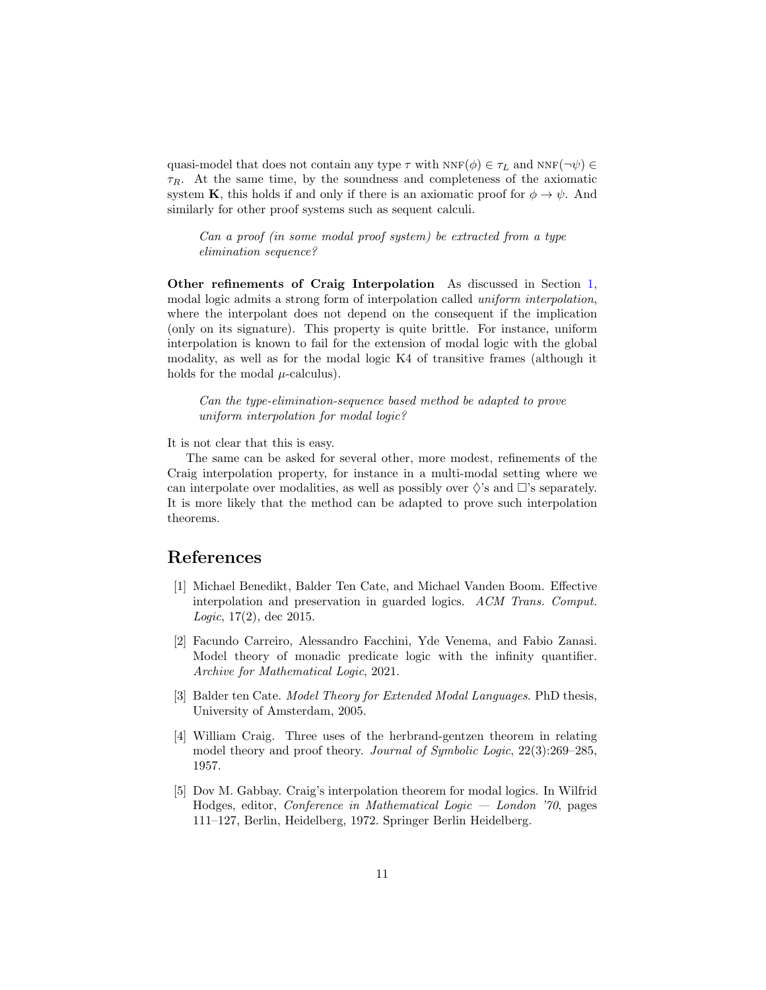quasi-model that does not contain any type  $\tau$  with  $NNF(\phi) \in \tau_L$  and  $NNF(\neg \psi) \in$  $\tau_R$ . At the same time, by the soundness and completeness of the axiomatic system K, this holds if and only if there is an axiomatic proof for  $\phi \to \psi$ . And similarly for other proof systems such as sequent calculi.

Can a proof (in some modal proof system) be extracted from a type elimination sequence?

Other refinements of Craig Interpolation As discussed in Section [1,](#page-0-0) modal logic admits a strong form of interpolation called uniform interpolation, where the interpolant does not depend on the consequent if the implication (only on its signature). This property is quite brittle. For instance, uniform interpolation is known to fail for the extension of modal logic with the global modality, as well as for the modal logic K4 of transitive frames (although it holds for the modal  $\mu$ -calculus).

Can the type-elimination-sequence based method be adapted to prove uniform interpolation for modal logic?

It is not clear that this is easy.

The same can be asked for several other, more modest, refinements of the Craig interpolation property, for instance in a multi-modal setting where we can interpolate over modalities, as well as possibly over  $\Diamond$ 's and  $\Box$ 's separately. It is more likely that the method can be adapted to prove such interpolation theorems.

## References

- <span id="page-10-0"></span>[1] Michael Benedikt, Balder Ten Cate, and Michael Vanden Boom. Effective interpolation and preservation in guarded logics. ACM Trans. Comput. Logic, 17(2), dec 2015.
- <span id="page-10-4"></span>[2] Facundo Carreiro, Alessandro Facchini, Yde Venema, and Fabio Zanasi. Model theory of monadic predicate logic with the infinity quantifier. Archive for Mathematical Logic, 2021.
- <span id="page-10-3"></span>[3] Balder ten Cate. Model Theory for Extended Modal Languages. PhD thesis, University of Amsterdam, 2005.
- <span id="page-10-1"></span>[4] William Craig. Three uses of the herbrand-gentzen theorem in relating model theory and proof theory. Journal of Symbolic Logic, 22(3):269–285, 1957.
- <span id="page-10-2"></span>[5] Dov M. Gabbay. Craig's interpolation theorem for modal logics. In Wilfrid Hodges, editor, Conference in Mathematical Logic — London '70, pages 111–127, Berlin, Heidelberg, 1972. Springer Berlin Heidelberg.